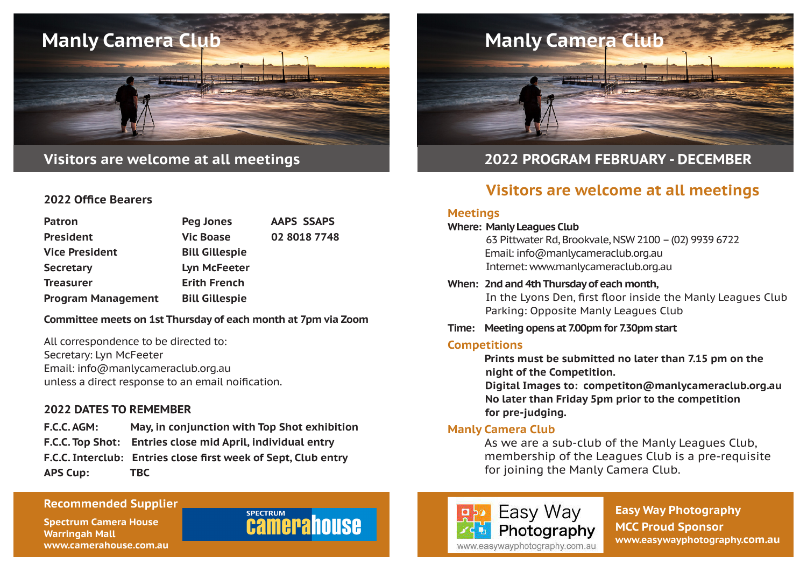

## **Visitors are welcome at all meetings**

#### **2022 Office Bearers**

| <b>Patron</b>             | <b>Peg Jones</b>      | <b>AAPS SSAPS</b> |
|---------------------------|-----------------------|-------------------|
| <b>President</b>          | <b>Vic Boase</b>      | 02 8018 7748      |
| <b>Vice President</b>     | <b>Bill Gillespie</b> |                   |
| <b>Secretary</b>          | <b>Lyn McFeeter</b>   |                   |
| <b>Treasurer</b>          | <b>Erith French</b>   |                   |
| <b>Program Management</b> | <b>Bill Gillespie</b> |                   |

#### **Committee meets on 1st Thursday of each month at 7pm via Zoom**

All correspondence to be directed to: Secretary: Lyn McFeeter Email: info@manlycameraclub.org.au unless a direct response to an email noification.

#### **2022 DATES TO REMEMBER**

**F.C.C. AGM: May, in conjunction with Top Shot exhibition F.C.C. Top Shot: Entries close mid April, individual entry F.C.C. Interclub: Entries close first week of Sept, Club entry APS Cup: TBC**

# **Manly Camera Club**

## **2022 PROGRAM FEBRUARY - DECEMBER**

# **Visitors are welcome at all meetings**

#### **Meetings**

**Where: Manly Leagues Club** 63 Pittwater Rd, Brookvale, NSW 2100 – (02) 9939 6722 Email: info@manlycameraclub.org.au Internet: www.manlycameraclub.org.au

**When: 2nd and 4th Thursday of each month,**  In the Lyons Den, first floor inside the Manly Leagues Club Parking: Opposite Manly Leagues Club

#### **Time: Meeting opens at 7.00pm for 7.30pm start**

#### **Competitions**

 **Prints must be submitted no later than 7.15 pm on the night of the Competition.**

**Digital Images to: competiton@manlycameraclub.org.au No later than Friday 5pm prior to the competition for pre-judging.** 

#### **Manly Camera Club**

 As we are a sub-club of the Manly Leagues Club, membership of the Leagues Club is a pre-requisite for joining the Manly Camera Club.

#### **Recommended Supplier**

**Spectrum Camera House Warringah Mall www.camerahouse.com.au**

# **SPECTRUM camerahouse**



**Easy Way Photography MCC Proud Sponsor www.easywayphotography.com.au**